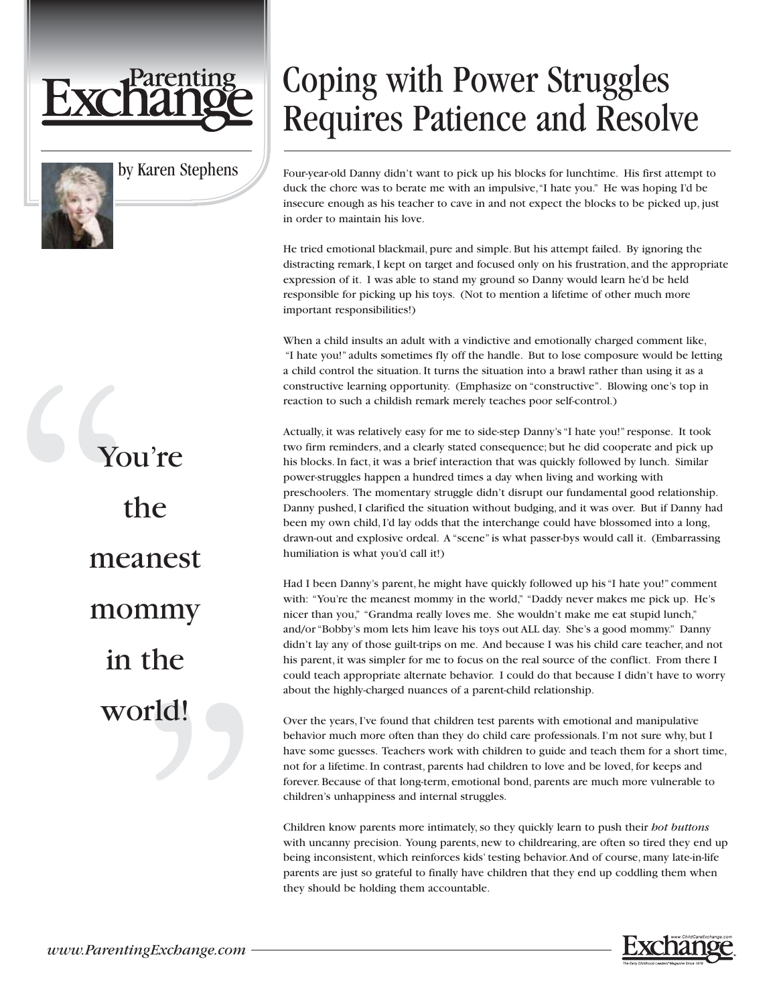

by Karen Stephens

You're the meanest mommy in the world!

## Coping with Power Struggles Requires Patience and Resolve

Four-year-old Danny didn't want to pick up his blocks for lunchtime. His first attempt to duck the chore was to berate me with an impulsive,"I hate you." He was hoping I'd be insecure enough as his teacher to cave in and not expect the blocks to be picked up, just in order to maintain his love.

He tried emotional blackmail, pure and simple. But his attempt failed. By ignoring the distracting remark, I kept on target and focused only on his frustration, and the appropriate expression of it. I was able to stand my ground so Danny would learn he'd be held responsible for picking up his toys. (Not to mention a lifetime of other much more important responsibilities!)

When a child insults an adult with a vindictive and emotionally charged comment like, "I hate you!" adults sometimes fly off the handle. But to lose composure would be letting a child control the situation. It turns the situation into a brawl rather than using it as a constructive learning opportunity. (Emphasize on "constructive". Blowing one's top in reaction to such a childish remark merely teaches poor self-control.)

Actually, it was relatively easy for me to side-step Danny's "I hate you!" response. It took two firm reminders, and a clearly stated consequence; but he did cooperate and pick up his blocks. In fact, it was a brief interaction that was quickly followed by lunch. Similar power-struggles happen a hundred times a day when living and working with preschoolers. The momentary struggle didn't disrupt our fundamental good relationship. Danny pushed, I clarified the situation without budging, and it was over. But if Danny had been my own child, I'd lay odds that the interchange could have blossomed into a long, drawn-out and explosive ordeal. A "scene" is what passer-bys would call it. (Embarrassing humiliation is what you'd call it!)

Had I been Danny's parent, he might have quickly followed up his "I hate you!" comment with: "You're the meanest mommy in the world," "Daddy never makes me pick up. He's nicer than you," "Grandma really loves me. She wouldn't make me eat stupid lunch," and/or "Bobby's mom lets him leave his toys out ALL day. She's a good mommy." Danny didn't lay any of those guilt-trips on me. And because I was his child care teacher, and not his parent, it was simpler for me to focus on the real source of the conflict. From there I could teach appropriate alternate behavior. I could do that because I didn't have to worry about the highly-charged nuances of a parent-child relationship.

Over the years, I've found that children test parents with emotional and manipulative behavior much more often than they do child care professionals. I'm not sure why, but I have some guesses. Teachers work with children to guide and teach them for a short time, not for a lifetime. In contrast, parents had children to love and be loved, for keeps and forever. Because of that long-term, emotional bond, parents are much more vulnerable to children's unhappiness and internal struggles.

Children know parents more intimately, so they quickly learn to push their *hot buttons* with uncanny precision. Young parents, new to childrearing, are often so tired they end up being inconsistent, which reinforces kids' testing behavior.And of course, many late-in-life parents are just so grateful to finally have children that they end up coddling them when they should be holding them accountable.